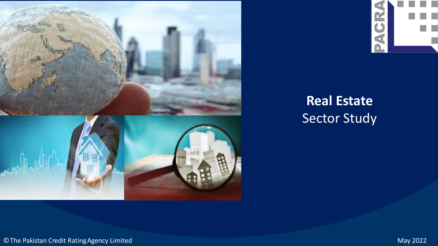



# **Real Estate** Sector Study

©The Pakistan Credit RatingAgency Limited May 2022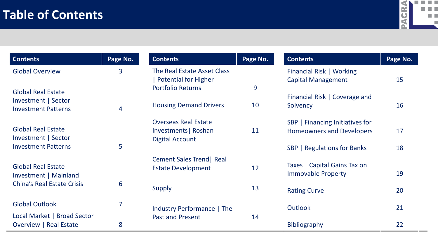

| <b>Contents</b>                                                                         | Page No. |
|-----------------------------------------------------------------------------------------|----------|
| <b>Global Overview</b>                                                                  | 3        |
| <b>Global Real Estate</b><br>Investment   Sector<br><b>Investment Patterns</b>          | 4        |
| <b>Global Real Estate</b><br>Investment   Sector<br><b>Investment Patterns</b>          | 5        |
| <b>Global Real Estate</b><br>Investment   Mainland<br><b>China's Real Estate Crisis</b> | 6        |
| <b>Global Outlook</b>                                                                   | 7        |
| Local Market   Broad Sector<br><b>Overview   Real Estate</b>                            | 8        |

| <b>Contents</b>                                       | Page No. |
|-------------------------------------------------------|----------|
| The Real Estate Asset Class<br>  Potential for Higher |          |
| <b>Portfolio Returns</b>                              | 9        |
| <b>Housing Demand Drivers</b>                         | 10       |
| <b>Overseas Real Estate</b>                           | 11       |
| Investments   Roshan<br><b>Digital Account</b>        |          |
| <b>Cement Sales Trend   Real</b>                      |          |
| <b>Estate Development</b>                             | 12       |
| <b>Supply</b>                                         | 13       |
| Industry Performance   The                            |          |
| <b>Past and Present</b>                               | 14       |

| <b>Contents</b>                                                     | Page No. |
|---------------------------------------------------------------------|----------|
| Financial Risk   Working<br><b>Capital Management</b>               | 15       |
| Financial Risk   Coverage and<br>Solvency                           | 16       |
| SBP   Financing Initiatives for<br><b>Homeowners and Developers</b> | 17       |
| <b>SBP</b>   Regulations for Banks                                  | 18       |
| Taxes   Capital Gains Tax on<br><b>Immovable Property</b>           | 19       |
| <b>Rating Curve</b>                                                 | 20       |
| Outlook                                                             | 21       |
| <b>Bibliography</b>                                                 | 22       |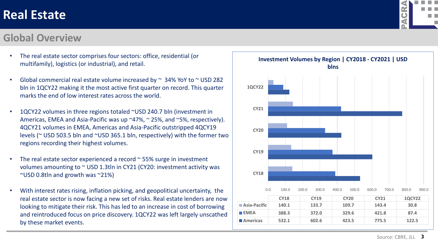#### **Global Overview**

- The real estate sector comprises four sectors: office, residential (or multifamily), logistics (or industrial), and retail.
- Global commercial real estate volume increased by  $\sim$  34% YoY to  $\sim$  USD 282 bln in 1QCY22 making it the most active first quarter on record. This quarter marks the end of low interest rates across the world.
- 1QCY22 volumes in three regions totaled ~USD 240.7 bln (investment in Americas, EMEA and Asia-Pacific was up ~47%, ~ 25%, and ~5%, respectively). 4QCY21 volumes in EMEA, Americas and Asia-Pacific outstripped 4QCY19 levels (~ USD 503.5 bln and ~USD 365.1 bln, respectively) with the former two regions recording their highest volumes.
- The real estate sector experienced a record  $\sim$  55% surge in investment volumes amounting to ~ USD 1.3tln in CY21 (CY20: investment activity was ~USD 0.8tln and growth was ~21%)
- With interest rates rising, inflation picking, and geopolitical uncertainty, the real estate sector is now facing a new set of risks. Real estate lenders are now looking to mitigate their risk. This has led to an increase in cost of borrowing and reintroduced focus on price discovery. 1QCY22 was left largely unscathed by these market events.



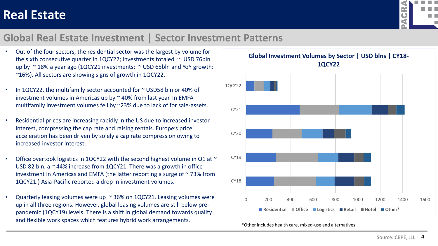

#### **Global Real Estate Investment | Sector Investment Patterns**

- Out of the four sectors, the residential sector was the largest by volume for the sixth consecutive quarter in 1QCY22; investments totaled  $\sim$  USD 76bln up by  $\approx$  18% a year ago (1QCY21 investments:  $\approx$  USD 65bln and YoY growth: ~16%). All sectors are showing signs of growth in 1QCY22.
- In 1QCY22, the multifamily sector accounted for ~ USD58 bln or 40% of investment volumes in Americas up by  $\sim$  40% from last year. In EMFA multifamily investment volumes fell by ~23% due to lack of for sale-assets.
- Residential prices are increasing rapidly in the US due to increased investor interest, compressing the cap rate and raising rentals. Europe's price acceleration has been driven by solely a cap rate compression owing to increased investor interest.
- Office overtook logistics in 1QCY22 with the second highest volume in Q1 at  $\sim$ USD 82 bln, a  $\sim$  44% increase from 1QCY21. There was a growth in office investment in Americas and EMFA (the latter reporting a surge of  $\sim$  73% from 1QCY21.) Asia-Pacific reported a drop in investment volumes.
- Quarterly leasing volumes were up  $\sim$  36% on 1QCY21. Leasing volumes were up in all three regions. However, global leasing volumes are still below prepandemic (1QCY19) levels. There is a shift in global demand towards quality and flexible work spaces which features hybrid work arrangements.



\*Other includes health care, mixed-use and alternatives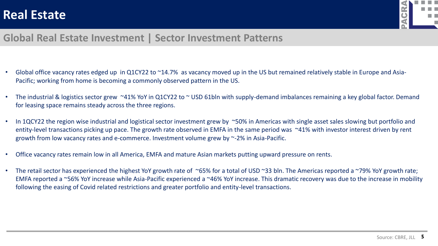

#### **Global Real Estate Investment | Sector Investment Patterns**

- Global office vacancy rates edged up in Q1CY22 to ~14.7% as vacancy moved up in the US but remained relatively stable in Europe and Asia-Pacific; working from home is becoming a commonly observed pattern in the US.
- The industrial & logistics sector grew ~41% YoY in Q1CY22 to ~ USD 61bln with supply-demand imbalances remaining a key global factor. Demand for leasing space remains steady across the three regions.
- In 1QCY22 the region wise industrial and logistical sector investment grew by ~50% in Americas with single asset sales slowing but portfolio and entity-level transactions picking up pace. The growth rate observed in EMFA in the same period was ~41% with investor interest driven by rent growth from low vacancy rates and e-commerce. Investment volume grew by ~-2% in Asia-Pacific.
- Office vacancy rates remain low in all America, EMFA and mature Asian markets putting upward pressure on rents.
- The retail sector has experienced the highest YoY growth rate of ~65% for a total of USD ~33 bln. The Americas reported a ~79% YoY growth rate; EMFA reported a ~56% YoY increase while Asia-Pacific experienced a ~46% YoY increase. This dramatic recovery was due to the increase in mobility following the easing of Covid related restrictions and greater portfolio and entity-level transactions.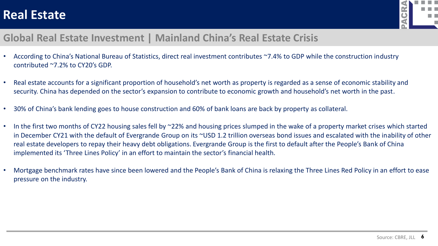

### **Global Real Estate Investment | Mainland China's Real Estate Crisis**

- According to China's National Bureau of Statistics, direct real investment contributes ~7.4% to GDP while the construction industry contributed ~7.2% to CY20's GDP.
- Real estate accounts for a significant proportion of household's net worth as property is regarded as a sense of economic stability and security. China has depended on the sector's expansion to contribute to economic growth and household's net worth in the past.
- 30% of China's bank lending goes to house construction and 60% of bank loans are back by property as collateral.
- In the first two months of CY22 housing sales fell by ~22% and housing prices slumped in the wake of a property market crises which started in December CY21 with the default of Evergrande Group on its ~USD 1.2 trillion overseas bond issues and escalated with the inability of other real estate developers to repay their heavy debt obligations. Evergrande Group is the first to default after the People's Bank of China implemented its 'Three Lines Policy' in an effort to maintain the sector's financial health.
- Mortgage benchmark rates have since been lowered and the People's Bank of China is relaxing the Three Lines Red Policy in an effort to ease pressure on the industry.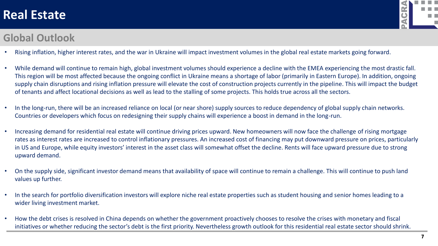

#### **Global Outlook**

- Rising inflation, higher interest rates, and the war in Ukraine will impact investment volumes in the global real estate markets going forward.
- While demand will continue to remain high, global investment volumes should experience a decline with the EMEA experiencing the most drastic fall. This region will be most affected because the ongoing conflict in Ukraine means a shortage of labor (primarily in Eastern Europe). In addition, ongoing supply chain disruptions and rising inflation pressure will elevate the cost of construction projects currently in the pipeline. This will impact the budget of tenants and affect locational decisions as well as lead to the stalling of some projects. This holds true across all the sectors.
- In the long-run, there will be an increased reliance on local (or near shore) supply sources to reduce dependency of global supply chain networks. Countries or developers which focus on redesigning their supply chains will experience a boost in demand in the long-run.
- Increasing demand for residential real estate will continue driving prices upward. New homeowners will now face the challenge of rising mortgage rates as interest rates are increased to control inflationary pressures. An increased cost of financing may put downward pressure on prices, particularly in US and Europe, while equity investors' interest in the asset class will somewhat offset the decline. Rents will face upward pressure due to strong upward demand.
- On the supply side, significant investor demand means that availability of space will continue to remain a challenge. This will continue to push land values up further.
- In the search for portfolio diversification investors will explore niche real estate properties such as student housing and senior homes leading to a wider living investment market.
- How the debt crises is resolved in China depends on whether the government proactively chooses to resolve the crises with monetary and fiscal initiatives or whether reducing the sector's debt is the first priority. Nevertheless growth outlook for this residential real estate sector should shrink.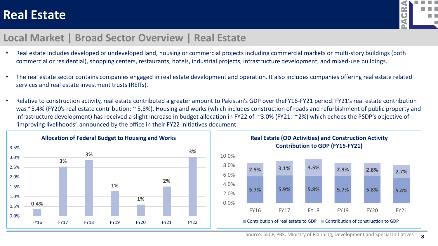

#### **Local Market | Broad Sector Overview | Real Estate**

- Real estate includes developed or undeveloped land, housing or commercial projects including commercial markets or multi-story buildings (both commercial or residential), shopping centers, restaurants, hotels, industrial projects, infrastructure development, and mixed-use buildings.
- The real estate sector contains companies engaged in real estate development and operation. It also includes companies offering real estate related services and real estate investment trusts (REITs).
- Relative to construction activity, real estate contributed a greater amount to Pakistan's GDP over theFY16-FY21 period. FY21's real estate contribution was ~5.4% (FY20's real estate contribution: ~ 5.8%). Housing and works (which includes construction of roads and refurbishment of public property and infrastructure development) has received a slight increase in budget allocation in FY22 of ~3.0% (FY21: ~2%) which echoes the PSDP's objective of 'improving livelihoods', announced by the office in their FY22 initiatives document.

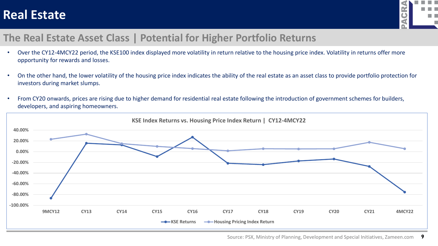

### **The Real Estate Asset Class | Potential for Higher Portfolio Returns**

- Over the CY12-4MCY22 period, the KSE100 index displayed more volatility in return relative to the housing price index. Volatility in returns offer more opportunity for rewards and losses.
- On the other hand, the lower volatility of the housing price index indicates the ability of the real estate as an asset class to provide portfolio protection for investors during market slumps.
- From CY20 onwards, prices are rising due to higher demand for residential real estate following the introduction of government schemes for builders, developers, and aspiring homeowners.

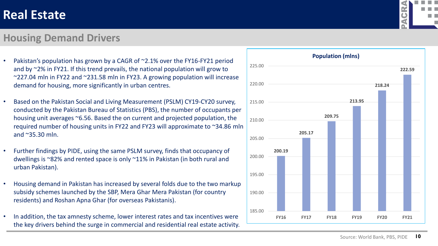#### **Housing Demand Drivers**

- Pakistan's population has grown by a CAGR of ~2.1% over the FY16-FY21 period and by ~2% in FY21. If this trend prevails, the national population will grow to ~227.04 mln in FY22 and ~231.58 mln in FY23. A growing population will increase demand for housing, more significantly in urban centres.
- Based on the Pakistan Social and Living Measurement (PSLM) CY19-CY20 survey, conducted by the Pakistan Bureau of Statistics (PBS), the number of occupants per housing unit averages ~6.56. Based the on current and projected population, the required number of housing units in FY22 and FY23 will approximate to ~34.86 mln and ~35.30 mln.
- Further findings by PIDE, using the same PSLM survey, finds that occupancy of dwellings is ~82% and rented space is only ~11% in Pakistan (in both rural and urban Pakistan).
- Housing demand in Pakistan has increased by several folds due to the two markup subsidy schemes launched by the SBP, Mera Ghar Mera Pakistan (for country residents) and Roshan Apna Ghar (for overseas Pakistanis).
- In addition, the tax amnesty scheme, lower interest rates and tax incentives were the key drivers behind the surge in commercial and residential real estate activity.



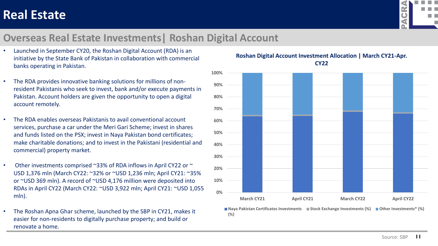

### **Overseas Real Estate Investments| Roshan Digital Account**

- Launched in September CY20, the Roshan Digital Account (RDA) is an initiative by the State Bank of Pakistan in collaboration with commercial banks operating in Pakistan.
- The RDA provides innovative banking solutions for millions of nonresident Pakistanis who seek to invest, bank and/or execute payments in Pakistan. Account holders are given the opportunity to open a digital account remotely.
- The RDA enables overseas Pakistanis to avail conventional account services, purchase a car under the Meri Gari Scheme; invest in shares and funds listed on the PSX; invest in Naya Pakistan bond certificates; make charitable donations; and to invest in the Pakistani (residential and commercial) property market.
- Other investments comprised  $\sim$ 33% of RDA inflows in April CY22 or  $\sim$ USD 1,376 mln (March CY22: ~32% or ~USD 1,236 mln; April CY21: ~35% or ~USD 369 mln). A record of ~USD 4,176 million were deposited into RDAs in April CY22 (March CY22: ~USD 3,922 mln; April CY21: ~USD 1,055 mln).
- The Roshan Apna Ghar scheme, launched by the SBP in CY21, makes it easier for non-residents to digitally purchase property; and build or renovate a home.

**0% 10% 20% 30% 40% 50% 60% 70% 80% 90% 100% March CY21 April CY21 March CY22 April CY22 Naya Pakistan Certificates Investments ■ Stock Exchange Investments (%) ■ Other Investments\* (%)** 

**(%)**

#### **Roshan Digital Account Investment Allocation | March CY21-Apr. CY22**

Source: SBP **11**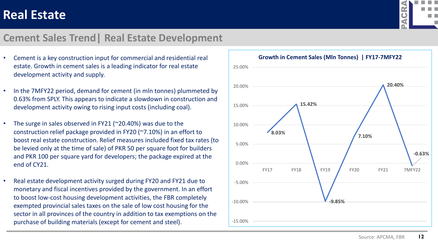

#### **Cement Sales Trend| Real Estate Development**

- Cement is a key construction input for commercial and residential real estate. Growth in cement sales is a leading indicator for real estate development activity and supply.
- In the 7MFY22 period, demand for cement (in mln tonnes) plummeted by 0.63% from SPLY. This appears to indicate a slowdown in construction and development activity owing to rising input costs (including coal).
- The surge in sales observed in FY21 (~20.40%) was due to the construction relief package provided in FY20 (~7.10%) in an effort to boost real estate construction. Relief measures included fixed tax rates (to be levied only at the time of sale) of PKR 50 per square foot for builders and PKR 100 per square yard for developers; the package expired at the end of CY21.
- Real estate development activity surged during FY20 and FY21 due to monetary and fiscal incentives provided by the government. In an effort to boost low-cost housing development activities, the FBR completely exempted provincial sales taxes on the sale of low cost housing for the sector in all provinces of the country in addition to tax exemptions on the purchase of building materials (except for cement and steel).

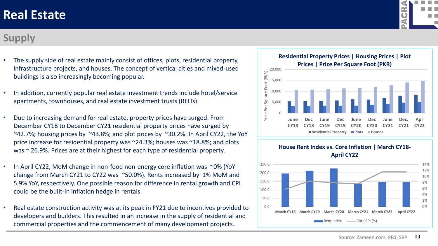### **Supply**

- The supply side of real estate mainly consist of offices, plots, residential property, infrastructure projects, and houses. The concept of vertical cities and mixed-used buildings is also increasingly becoming popular.
- In addition, currently popular real estate investment trends include hotel/service apartments, townhouses, and real estate investment trusts (REITs).
- Due to increasing demand for real estate, property prices have surged. From December CY18 to December CY21 residential property prices have surged by  $\sim$ 42.7%; housing prices by  $\sim$ 43.8%; and plot prices by  $\sim$ 30.2%. In April CY22, the YoY price increase for residential property was ~24.3%; houses was ~18.8%; and plots was  $\sim$  26.9%. Prices are at their highest for each type of residential property.
- In April CY22, MoM change in non-food non-energy core inflation was ~0% (YoY change from March CY21 to CY22 was ~50.0%). Rents increased by 1% MoM and 5.9% YoY, respectively. One possible reason for difference in rental growth and CPI could be the built-in inflation hedge in rentals.
- Real estate construction activity was at its peak in FY21 due to incentives provided to developers and builders. This resulted in an increase in the supply of residential and commercial properties and the commencement of many development projects.





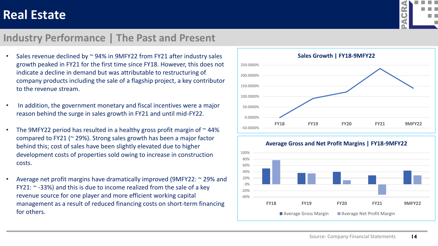

#### **Industry Performance | The Past and Present**

- Sales revenue declined by  $\sim$  94% in 9MFY22 from FY21 after industry sales growth peaked in FY21 for the first time since FY18. However, this does not indicate a decline in demand but was attributable to restructuring of company products including the sale of a flagship project, a key contributor to the revenue stream.
- In addition, the government monetary and fiscal incentives were a major reason behind the surge in sales growth in FY21 and until mid-FY22.
- The 9MFY22 period has resulted in a healthy gross profit margin of  $\sim$  44% compared to FY21 (~ 29%). Strong sales growth has been a major factor behind this; cost of sales have been slightly elevated due to higher development costs of properties sold owing to increase in construction costs.
- Average net profit margins have dramatically improved (9MFY22: ~ 29% and FY21:  $\sim$  -33%) and this is due to income realized from the sale of a key revenue source for one player and more efficient working capital management as a result of reduced financing costs on short-term financing for others.



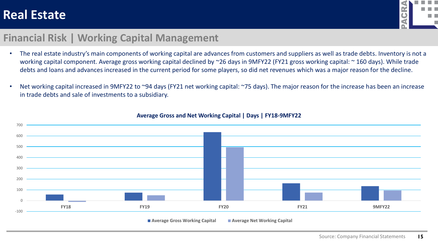

#### **Financial Risk | Working Capital Management**

- The real estate industry's main components of working capital are advances from customers and suppliers as well as trade debts. Inventory is not a working capital component. Average gross working capital declined by ~26 days in 9MFY22 (FY21 gross working capital: ~ 160 days). While trade debts and loans and advances increased in the current period for some players, so did net revenues which was a major reason for the decline.
- Net working capital increased in 9MFY22 to ~94 days (FY21 net working capital: ~75 days). The major reason for the increase has been an increase in trade debts and sale of investments to a subsidiary.



#### **Average Gross and Net Working Capital | Days | FY18-9MFY22**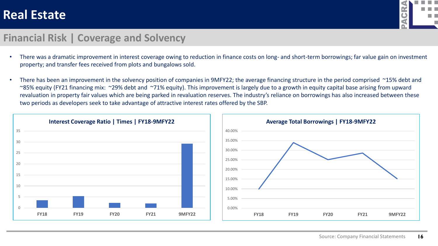

#### **Financial Risk | Coverage and Solvency**

- There was a dramatic improvement in interest coverage owing to reduction in finance costs on long- and short-term borrowings; far value gain on investment property; and transfer fees received from plots and bungalows sold.
- There has been an improvement in the solvency position of companies in 9MFY22; the average financing structure in the period comprised ~15% debt and ~85% equity (FY21 financing mix: ~29% debt and ~71% equity). This improvement is largely due to a growth in equity capital base arising from upward revaluation in property fair values which are being parked in revaluation reserves. The industry's reliance on borrowings has also increased between these two periods as developers seek to take advantage of attractive interest rates offered by the SBP.



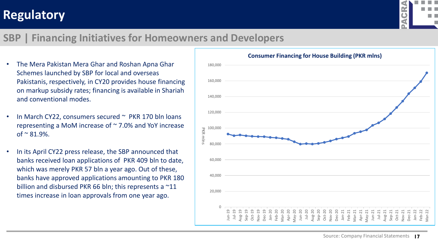## **Regulatory**



### **SBP | Financing Initiatives for Homeowners and Developers**

- The Mera Pakistan Mera Ghar and Roshan Apna Ghar Schemes launched by SBP for local and overseas Pakistanis, respectively, in CY20 provides house financing on markup subsidy rates; financing is available in Shariah and conventional modes.
- In March CY22, consumers secured  $\sim$  PKR 170 bln loans representing a MoM increase of ~ 7.0% and YoY increase of  $\approx 81.9\%$ .
- In its April CY22 press release, the SBP announced that banks received loan applications of PKR 409 bln to date, which was merely PKR 57 bln a year ago. Out of these, banks have approved applications amounting to PKR 180 billion and disbursed PKR 66 bln; this represents a ~11 times increase in loan approvals from one year ago.

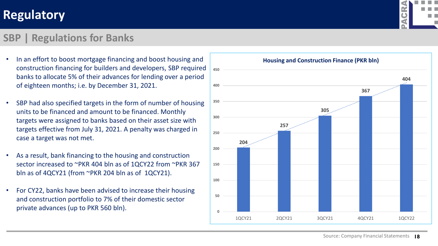## **Regulatory**

#### **SBP | Regulations for Banks**

- In an effort to boost mortgage financing and boost housing and construction financing for builders and developers, SBP required banks to allocate 5% of their advances for lending over a period of eighteen months; i.e. by December 31, 2021.
- SBP had also specified targets in the form of number of housing units to be financed and amount to be financed. Monthly targets were assigned to banks based on their asset size with targets effective from July 31, 2021. A penalty was charged in case a target was not met.
- As a result, bank financing to the housing and construction sector increased to ~PKR 404 bln as of 1QCY22 from ~PKR 367 bln as of 4QCY21 (from ~PKR 204 bln as of 1QCY21).
- For CY22, banks have been advised to increase their housing and construction portfolio to 7% of their domestic sector private advances (up to PKR 560 bln).



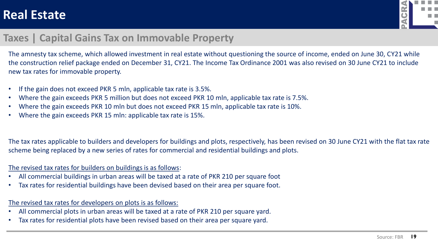

### **Taxes | Capital Gains Tax on Immovable Property**

The amnesty tax scheme, which allowed investment in real estate without questioning the source of income, ended on June 30, CY21 while the construction relief package ended on December 31, CY21. The Income Tax Ordinance 2001 was also revised on 30 June CY21 to include new tax rates for immovable property.

- If the gain does not exceed PKR 5 mln, applicable tax rate is 3.5%.
- Where the gain exceeds PKR 5 million but does not exceed PKR 10 mln, applicable tax rate is 7.5%.
- Where the gain exceeds PKR 10 mln but does not exceed PKR 15 mln, applicable tax rate is 10%.
- Where the gain exceeds PKR 15 mln: applicable tax rate is 15%.

The tax rates applicable to builders and developers for buildings and plots, respectively, has been revised on 30 June CY21 with the flat tax rate scheme being replaced by a new series of rates for commercial and residential buildings and plots.

#### The revised tax rates for builders on buildings is as follows:

- All commercial buildings in urban areas will be taxed at a rate of PKR 210 per square foot
- Tax rates for residential buildings have been devised based on their area per square foot.

#### The revised tax rates for developers on plots is as follows:

- All commercial plots in urban areas will be taxed at a rate of PKR 210 per square yard.
- Tax rates for residential plots have been revised based on their area per square yard.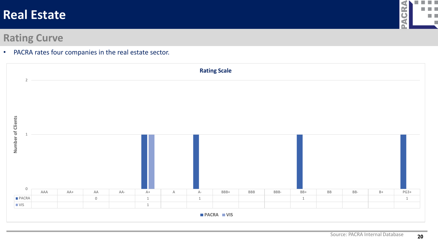

#### **Rating Curve**

• PACRA rates four companies in the real estate sector.

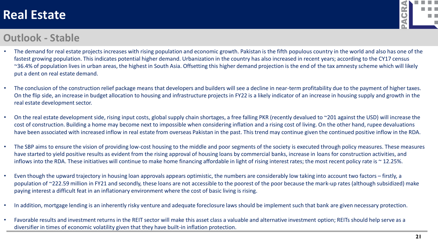

#### **Outlook - Stable**

- The demand for real estate projects increases with rising population and economic growth. Pakistan is the fifth populous country in the world and also has one of the fastest growing population. This indicates potential higher demand. Urbanization in the country has also increased in recent years; according to the CY17 census ~36.4% of population lives in urban areas, the highest in South Asia. Offsetting this higher demand projection is the end of the tax amnesty scheme which will likely put a dent on real estate demand.
- The conclusion of the construction relief package means that developers and builders will see a decline in near-term profitability due to the payment of higher taxes. On the flip side, an increase in budget allocation to housing and infrastructure projects in FY22 is a likely indicator of an increase in housing supply and growth in the real estate development sector.
- On the real estate development side, rising input costs, global supply chain shortages, a free falling PKR (recently devalued to ~201 against the USD) will increase the cost of construction. Building a home may become next to impossible when considering inflation and a rising cost of living. On the other hand, rupee devaluations have been associated with increased inflow in real estate from overseas Pakistan in the past. This trend may continue given the continued positive inflow in the RDA.
- The SBP aims to ensure the vision of providing low-cost housing to the middle and poor segments of the society is executed through policy measures. These measures have started to yield positive results as evident from the rising approval of housing loans by commercial banks, increase in loans for construction activities, and inflows into the RDA. These initiatives will continue to make home financing affordable in light of rising interest rates; the most recent policy rate is  $\sim$  12.25%.
- Even though the upward trajectory in housing loan approvals appears optimistic, the numbers are considerably low taking into account two factors firstly, a population of ~222.59 million in FY21 and secondly, these loans are not accessible to the poorest of the poor because the mark-up rates (although subsidized) make paying interest a difficult feat in an inflationary environment where the cost of basic living is rising.
- In addition, mortgage lending is an inherently risky venture and adequate foreclosure laws should be implement such that bank are given necessary protection.
- Favorable results and investment returns in the REIT sector will make this asset class a valuable and alternative investment option; REITs should help serve as a diversifier in times of economic volatility given that they have built-in inflation protection.